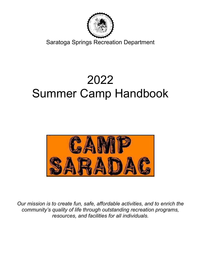

Saratoga Springs Springs Recreation Department

# Summer Camp Handbook 2022



Our mission is to create fun, safe, affordable activities, and to enrich the ur mission is to create fun, safe, affordable activities, and to enrich th<br>community's quality of life through outstanding recreation programs, resources, and facilities for all individuals.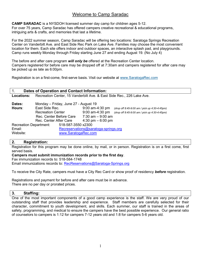# Welcome to Camp Saradac

CAMP SARADAC is a NYSDOH licensed summer day camp for children ages 5-12. For over 75 years, Camp Saradac has offered campers creative recreational & educational programs, intriguing arts & crafts, and memories that last a lifetime.

For the 2022 summer season, Camp Saradac will be offering two locations: Saratoga Springs Recreation Center on Vanderbilt Ave. and East Side Rec Park on Lake Ave. Families may choose the most convenient location for them. Each site offers indoor and outdoor spaces, an interactive splash pad, and playgrounds. Camp runs weekly Monday through Friday starting June 27 and ending August 19. (No July 4)

The before and after care program will only be offered at the Recreation Center location. Campers registered for before care may be dropped off at 7:30am and campers registered for after care may be picked up as late as 6:00pm.

Registration is on a first-come, first-serve basis. Visit our website at www.SaratogaRec.com

| Dates of Operation and Contact Information:  |                                                                       |                                      |                                               |  |  |  |  |  |  |
|----------------------------------------------|-----------------------------------------------------------------------|--------------------------------------|-----------------------------------------------|--|--|--|--|--|--|
| <b>Locations:</b>                            | Recreation Center, 15 Vanderbilt Ave. & East Side Rec., 226 Lake Ave. |                                      |                                               |  |  |  |  |  |  |
| Dates:                                       | Monday – Friday, June 27 - August 19                                  |                                      |                                               |  |  |  |  |  |  |
| Hours:                                       | East Side Rec.                                                        | $9:00$ am-4:30 pm                    | (drop off 8:45-9:00 am / pick up 4:30-4:45pm) |  |  |  |  |  |  |
|                                              | <b>Recreation Center</b>                                              | $9:00$ am-4:30 pm                    | (drop off 8:45-9:00 am / pick up 4:30-4:45pm) |  |  |  |  |  |  |
|                                              | Rec. Center Before Care                                               | 7:30 am – 9:00 am                    |                                               |  |  |  |  |  |  |
|                                              | Rec. Center After Care                                                | 4:30 pm $-6:00$ pm                   |                                               |  |  |  |  |  |  |
| 518-587-3550 x2300<br>Recreation Department: |                                                                       |                                      |                                               |  |  |  |  |  |  |
| Email:                                       |                                                                       | Recreservations@saratoga-springs.org |                                               |  |  |  |  |  |  |
| Website:                                     | www.SaratogaRec.com                                                   |                                      |                                               |  |  |  |  |  |  |

# 2. Registration:

Registration for this program may be done online, by mail, or in person. Registration is on a first come, first served basis.

Campers must submit immunization records prior to the first day. Fax immunization records to: 518-584-1748 Email immunizations records to: RecReservations@Saratoga-Springs.org

To receive the City Rate, campers must have a City Rec Card or show proof of residency **before** registration.

Registrations and payment for before and after care must be in advance. There are no per day or prorated prices.

# 3. Staffing:

One of the most important components of a good camp experience is the staff. We are very proud of our outstanding staff that provides leadership and experience. Staff members are carefully selected for their character, commitment to youth development, and skills. Each summer, our staff is trained in the areas of safety, programming, and medical to ensure the campers have the best possible experience. Our general ratio of counselors to campers is 1:12 for campers 7-12 years old and 1:8 for campers 5-6 years old.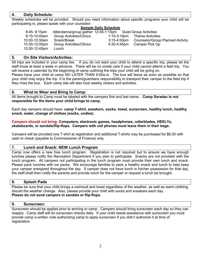# 4. Daily Schedule:

Weekly schedules will be provided. Should you need information about specific programs your child will be participating in, please speak with your counselor.

# Sample Daily Schedule

| $8:45 - 9:15$ am | Attendance/group gather 12:45-1:15pm Quiet Group Activities |                         |                                         |
|------------------|-------------------------------------------------------------|-------------------------|-----------------------------------------|
| 9:15-10:00am     | <b>Group Activities/Clinics</b>                             |                         | 1:15-3:15pm Theme Activities            |
| 10:00-10:30am    | Snack/Break                                                 | $3:15 - 4:00 \text{pm}$ | <b>Counselor/Group Planned Activity</b> |
| 10:30-12:00pm    | <b>Group Activities/Clinics</b>                             | 4:30-4:45pm             | Camper Pick Up                          |
| 12:00-12:45pm    | Lunch                                                       |                         |                                         |

# 5. On Site Visitors/Activities:

All trips are included in your camp fee. If you do not want your child to attend a specific trip, please let the staff know at least a week in advance. There will be no onsite care if your child cannot attend a field trip. You will receive a calendar by the beginning of camp outlining the trips your child will be going on.

Please have your child at camp NO LATER THAN 9:00a.m. The bus will leave as soon as possible so that your child may enjoy the trip. It is the parent/guardians responsibility to transport their camper to the field trip if they miss the bus. Each camp site will also host weekly visitors and activities.

# 6. What to Wear and Bring to Camp:

All items brought to Camp must be labeled with the campers first and last name. Camp Saradac is not responsible for the items your child brings to camp.

Each day campers should have: camp T-shirt, sneakers, socks, towel, sunscreen, healthy lunch, healthy snack, water, change of clothes (socks, undies).

#### Campers should not bring: Computers, electronic games, headphones, rollerblades, HEELYs, skateboards, or sandals/flip-flops. Campers with cell phones must leave them in their bags.

Campers will be provided one T-shirt at registration and additional T-shirts may be purchased for \$6.00 with cash or check (payable to Commissioner of Finance) only.

# 7. Lunch and Snack: NEW Lunch Program

Camp now offers a new free lunch program. Registration is not required but to ensure we have enough lunches please notify the Recreation Department if you plan to participate. Snacks are not provided with the lunch program. All campers not participating in the lunch program must provide their own lunch and snack. Please pack lunches with ice packs. We encourage families to pack a healthy snack and lunch to help keep your camper energized throughout the day. If camper does not have lunch in his/her possession for that day, the staff shall then notify the parents and provide lunch for the camper or request a lunch be brought.

# 8. Splash Pads

Please be sure that your child brings a swimsuit and towel regardless of the weather, as well as warm clothing, should the weather change. Also, please provide your child with socks and sneakers each day. Please do not send campers in sandals or flip-flops.

# 9. Sunscreen:

Sunscreen should be applied prior to arriving to camp. Campers should bring sunscreen each day so they can reapply. Camp staff will do sunscreen checks daily. If your child needs assistance with sunscreen you must provide camp a written note authorizing camp to apply sunscreen if you didn't authorize it at time of registration.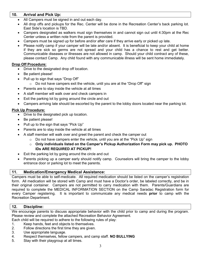# 10. Arrival and Pick Up:

- All Campers must be signed in and out each day.
- All drop offs and pickups for the Rec. Center will be done in the Recreation Center's back parking lot. East Side's location is TBD.
- Campers designated as walkers must sign themselves in and cannot sign out until 4:30pm at the Rec Center unless a written note from the parent is provided.
- Campers must be signed up for before and/or after care if they arrive early or picked up late.
- Please notify camp if your camper will be late and/or absent. It is beneficial to keep your child at home if they are sick so germs are not spread and your child has a chance to rest and get better. Communicable diseases or illnesses are not allowed in camp. Should your child contract any of these, please contact Camp. Any child found with any communicable illness will be sent home immediately.

# Drop Off Procedure:

- Drive to the designated drop off location.
- Be patient please!
- Pull up to sign that says "Drop Off"
	- $\circ$  Do not have campers exit the vehicle, until you are at the "Drop Off" sign
- Parents are to stay inside the vehicle at all times
- A staff member will walk over and check campers in
- Exit the parking lot by going around the circle and out
- Campers arriving late should be escorted by the parent to the lobby doors located near the parking lot.

# Pick Up Procedure:

- Drive to the designated pick up location.
- Be patient please!
- Pull up to the sign that says "Pick Up"
- Parents are to stay inside the vehicle at all times
	- A staff member will walk over and greet the parent and check the camper out
		- o Do not have campers enter the vehicle, until you are at the "Pick Up" sign
		- $\circ$  Only individuals listed on the Camper's Pickup Authorization Form may pick up. PHOTO IDs ARE REQUIRED AT PICKUP!
- Exit the parking lot by going around the circle and out
- Parents picking up a camper early should notify camp. Counselors will bring the camper to the lobby entrance door or parking lot to meet the parents.

# 11. Medication/Emergency Medical Assistance:

Campers must be able to self-medicate. All required medication should be listed on the camper's registration form. All medication will be stored with Camp and must have a Doctor's order, be labeled correctly, and be in their original container. Campers are not permitted to carry medication with them. Parents/Guardians are required to complete the MEDICAL INFORMATION SECTION on the Camp Saradac Registration form for every Camper registering. It is important to communicate any medical needs **prior** to camp with the Recreation Department.

# 12. Discipline:

We encourage parents to discuss appropriate behavior with the child prior to camp and during the program. Please review and complete the attached Recreation Behavior Agreement. Each child will be required to adhere to the following rules of play:

- 1. Keep hands, feet and objects to themselves.
- 2. Follow directions the first time they are given.
- 3. Use appropriate language.
- 4. Respect themselves, fellow campers, and camp staff. NO BULLYING
- 5. Stay with their playgroup at all times.